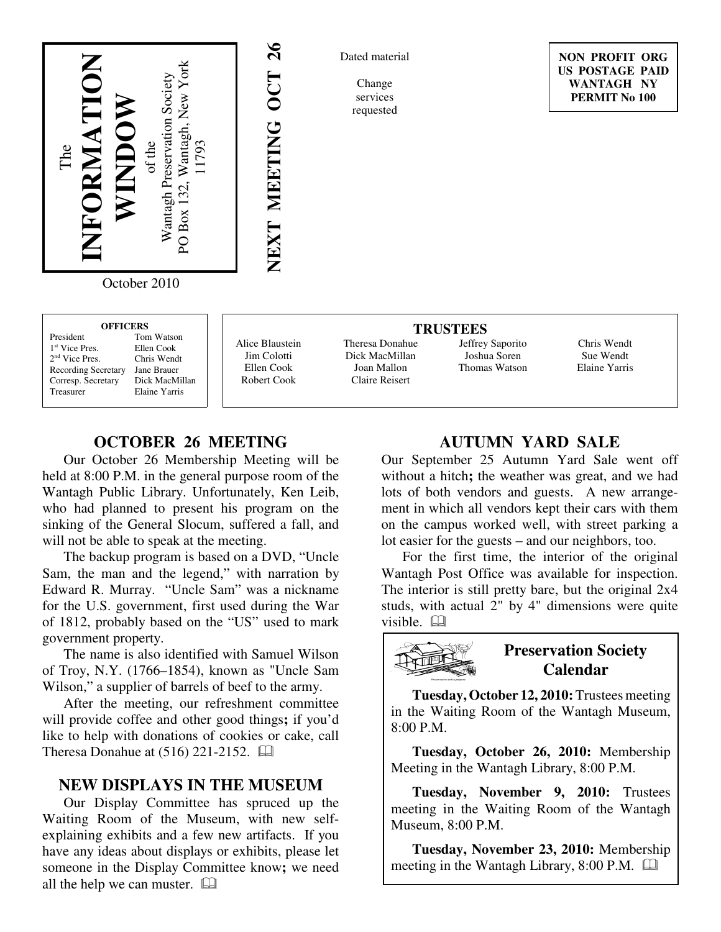

26 **NEXT MEETING OCT 26** NEXT MEETING OCT

Dated material

Change services requested

Dick MacMillan Joan Mallon Claire Reisert

**NON PROFIT ORG US POSTAGE PAID WANTAGH NY PERMIT No 100**

October 2010

| <b>OFFICERS</b>            |                |  |
|----------------------------|----------------|--|
| President                  | Tom Watson     |  |
| 1 <sup>st</sup> Vice Pres. | Ellen Cook     |  |
| 2 <sup>nd</sup> Vice Pres. | Chris Wendt    |  |
| Recording Secretary        | Jane Brauer    |  |
| Corresp. Secretary         | Dick MacMillan |  |
| Treasurer                  | Elaine Yarris  |  |
|                            |                |  |

1

2

Alice Blaustein Jim Colotti Ellen Cook Robert Cook

#### **TRUSTEES** Theresa Donahue

Jeffrey Saporito Joshua Soren Thomas Watson

Chris Wendt Sue Wendt Elaine Yarris

# **OCTOBER 26 MEETING**

Our October 26 Membership Meeting will be held at 8:00 P.M. in the general purpose room of the Wantagh Public Library. Unfortunately, Ken Leib, who had planned to present his program on the sinking of the General Slocum, suffered a fall, and will not be able to speak at the meeting.

The backup program is based on a DVD, "Uncle Sam, the man and the legend," with narration by Edward R. Murray. "Uncle Sam" was a nickname for the U.S. government, first used during the War of 1812, probably based on the "US" used to mark government property.

The name is also identified with Samuel Wilson of Troy, N.Y. (1766–1854), known as "Uncle Sam Wilson," a supplier of barrels of beef to the army.

After the meeting, our refreshment committee will provide coffee and other good things**;** if you'd like to help with donations of cookies or cake, call Theresa Donahue at (516) 221-2152. [14]

### **NEW DISPLAYS IN THE MUSEUM**

Our Display Committee has spruced up the Waiting Room of the Museum, with new selfexplaining exhibits and a few new artifacts. If you have any ideas about displays or exhibits, please let someone in the Display Committee know**;** we need all the help we can muster.

# **AUTUMN YARD SALE**

Our September 25 Autumn Yard Sale went off without a hitch**;** the weather was great, and we had lots of both vendors and guests. A new arrangement in which all vendors kept their cars with them on the campus worked well, with street parking a lot easier for the guests – and our neighbors, too.

For the first time, the interior of the original Wantagh Post Office was available for inspection. The interior is still pretty bare, but the original 2x4 studs, with actual 2" by 4" dimensions were quite visible. <sup>[1]</sup>



## **Preservation Society Calendar**

**Tuesday, October 12, 2010:** Trustees meeting in the Waiting Room of the Wantagh Museum, 8:00 P.M.

**Tuesday, October 26, 2010:** Membership Meeting in the Wantagh Library, 8:00 P.M.

**Tuesday, November 9, 2010:** Trustees meeting in the Waiting Room of the Wantagh Museum, 8:00 P.M.

**Tuesday, November 23, 2010:** Membership meeting in the Wantagh Library, 8:00 P.M.